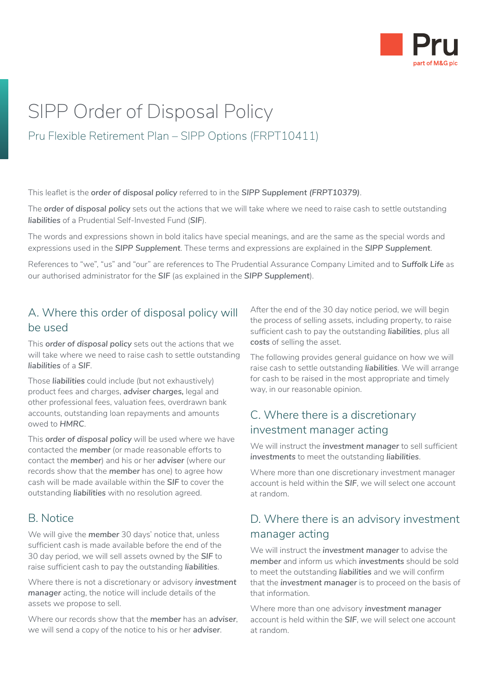

# SIPP Order of Disposal Policy

## Pru Flexible Retirement Plan – SIPP Options (FRPT10411)

This leaflet is the *order of disposal policy* referred to in the *SIPP Supplement (FRPT10379)*.

The *order of disposal policy* sets out the actions that we will take where we need to raise cash to settle outstanding *liabilities* of a Prudential Self-Invested Fund (*SIF*).

The words and expressions shown in bold italics have special meanings, and are the same as the special words and expressions used in the *SIPP Supplement*. These terms and expressions are explained in the *SIPP Supplement*.

References to "we", "us" and "our" are references to The Prudential Assurance Company Limited and to *Suffolk Life* as our authorised administrator for the *SIF* (as explained in the *SIPP Supplement*).

#### A. Where this order of disposal policy will be used

This *order of disposal policy* sets out the actions that we will take where we need to raise cash to settle outstanding *liabilities* of a *SIF*.

Those *liabilities* could include (but not exhaustively) product fees and charges, *adviser charges,* legal and other professional fees, valuation fees, overdrawn bank accounts, outstanding loan repayments and amounts owed to *HMRC*.

This *order of disposal policy* will be used where we have contacted the *member* (or made reasonable efforts to contact the *member*) and his or her *adviser* (where our records show that the *member* has one) to agree how cash will be made available within the *SIF* to cover the outstanding *liabilities* with no resolution agreed.

#### B. Notice

We will give the *member* 30 days' notice that, unless sufficient cash is made available before the end of the 30 day period, we will sell assets owned by the *SIF* to raise sufficient cash to pay the outstanding *liabilities*.

Where there is not a discretionary or advisory *investment manager* acting, the notice will include details of the assets we propose to sell.

Where our records show that the *member* has an *adviser*, we will send a copy of the notice to his or her *adviser*.

After the end of the 30 day notice period, we will begin the process of selling assets, including property, to raise sufficient cash to pay the outstanding *liabilities*, plus all *costs* of selling the asset.

The following provides general guidance on how we will raise cash to settle outstanding *liabilities*. We will arrange for cash to be raised in the most appropriate and timely way, in our reasonable opinion.

## C. Where there is a discretionary investment manager acting

We will instruct the *investment manager* to sell sufficient *investments* to meet the outstanding *liabilities*.

Where more than one discretionary investment manager account is held within the *SIF*, we will select one account at random.

#### D. Where there is an advisory investment manager acting

We will instruct the *investment manager* to advise the *member* and inform us which *investments* should be sold to meet the outstanding *liabilities* and we will confirm that the *investment manager* is to proceed on the basis of that information.

Where more than one advisory *investment manager* account is held within the *SIF*, we will select one account at random.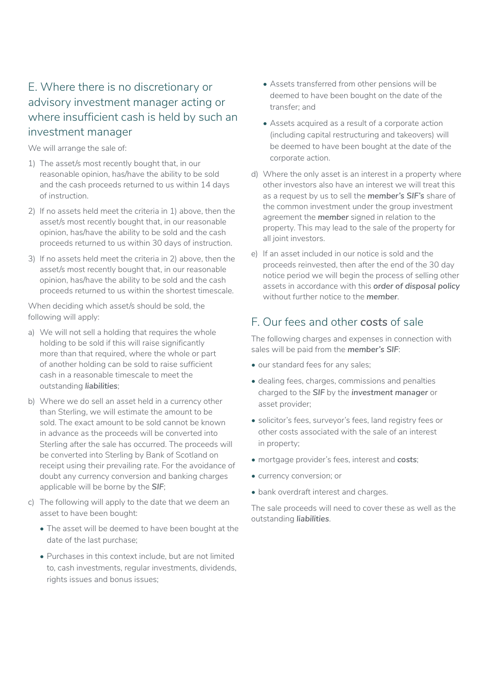# E. Where there is no discretionary or advisory investment manager acting or where insufficient cash is held by such an investment manager

We will arrange the sale of:

- 1) The asset/s most recently bought that, in our reasonable opinion, has/have the ability to be sold and the cash proceeds returned to us within 14 days of instruction.
- 2) If no assets held meet the criteria in 1) above, then the asset/s most recently bought that, in our reasonable opinion, has/have the ability to be sold and the cash proceeds returned to us within 30 days of instruction.
- 3) If no assets held meet the criteria in 2) above, then the asset/s most recently bought that, in our reasonable opinion, has/have the ability to be sold and the cash proceeds returned to us within the shortest timescale.

When deciding which asset/s should be sold, the following will apply:

- a) We will not sell a holding that requires the whole holding to be sold if this will raise significantly more than that required, where the whole or part of another holding can be sold to raise sufficient cash in a reasonable timescale to meet the outstanding *liabilities*;
- b) Where we do sell an asset held in a currency other than Sterling, we will estimate the amount to be sold. The exact amount to be sold cannot be known in advance as the proceeds will be converted into Sterling after the sale has occurred. The proceeds will be converted into Sterling by Bank of Scotland on receipt using their prevailing rate. For the avoidance of doubt any currency conversion and banking charges applicable will be borne by the *SIF*;
- c) The following will apply to the date that we deem an asset to have been bought:
	- The asset will be deemed to have been bought at the date of the last purchase;
	- Purchases in this context include, but are not limited to, cash investments, regular investments, dividends, rights issues and bonus issues;
- Assets transferred from other pensions will be deemed to have been bought on the date of the transfer; and
- Assets acquired as a result of a corporate action (including capital restructuring and takeovers) will be deemed to have been bought at the date of the corporate action.
- d) Where the only asset is an interest in a property where other investors also have an interest we will treat this as a request by us to sell the *member's SIF's* share of the common investment under the group investment agreement the *member* signed in relation to the property. This may lead to the sale of the property for all joint investors.
- e) If an asset included in our notice is sold and the proceeds reinvested, then after the end of the 30 day notice period we will begin the process of selling other assets in accordance with this *order of disposal policy* without further notice to the *member*.

#### F. Our fees and other *costs* of sale

The following charges and expenses in connection with sales will be paid from the *member's SIF*:

- our standard fees for any sales;
- dealing fees, charges, commissions and penalties charged to the *SIF* by the *investment manager* or asset provider;
- solicitor's fees, surveyor's fees, land registry fees or other costs associated with the sale of an interest in property;
- mortgage provider's fees, interest and *costs*;
- currency conversion; or
- bank overdraft interest and charges.

The sale proceeds will need to cover these as well as the outstanding *liabilities*.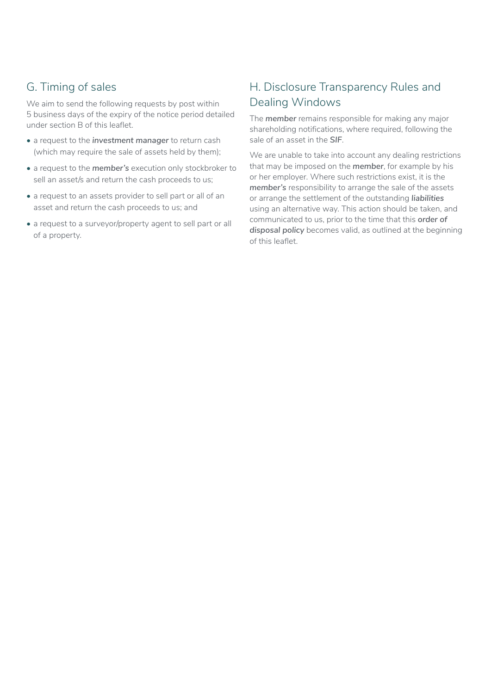# G. Timing of sales

We aim to send the following requests by post within 5 business days of the expiry of the notice period detailed under section B of this leaflet.

- a request to the *investment manager* to return cash (which may require the sale of assets held by them);
- a request to the *member's* execution only stockbroker to sell an asset/s and return the cash proceeds to us;
- a request to an assets provider to sell part or all of an asset and return the cash proceeds to us; and
- a request to a surveyor/property agent to sell part or all of a property.

# H. Disclosure Transparency Rules and Dealing Windows

The *member* remains responsible for making any major shareholding notifications, where required, following the sale of an asset in the *SIF*.

We are unable to take into account any dealing restrictions that may be imposed on the *member*, for example by his or her employer. Where such restrictions exist, it is the *member's* responsibility to arrange the sale of the assets or arrange the settlement of the outstanding *liabilities* using an alternative way. This action should be taken, and communicated to us, prior to the time that this *order of disposal policy* becomes valid, as outlined at the beginning of this leaflet.